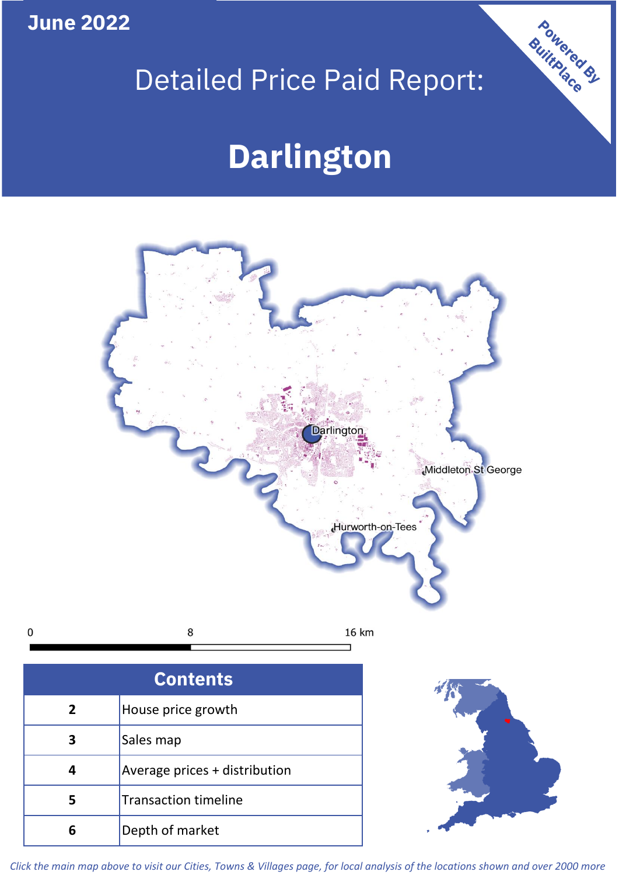**June 2022**

## Detailed Price Paid Report:

Powered By

# **Darlington**



*Click the main map above to visit our Cities, Towns & Villages page, for local analysis of the locations shown and over 2000 more*

**6** Depth of market

 $\mathbf 0$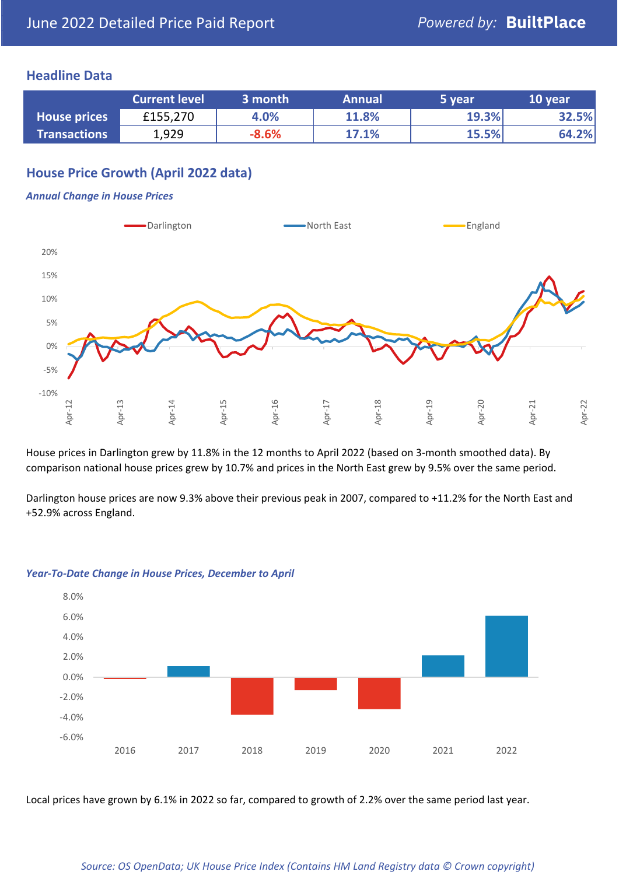#### **Headline Data**

|                     | <b>Current level</b> | 3 month | <b>Annual</b> | 5 year | 10 year |
|---------------------|----------------------|---------|---------------|--------|---------|
| <b>House prices</b> | £155,270             | 4.0%    | 11.8%         | 19.3%  | 32.5%   |
| <b>Transactions</b> | 1,929                | $-8.6%$ | 17.1%         | 15.5%  | 64.2%   |

### **House Price Growth (April 2022 data)**

#### *Annual Change in House Prices*



House prices in Darlington grew by 11.8% in the 12 months to April 2022 (based on 3-month smoothed data). By comparison national house prices grew by 10.7% and prices in the North East grew by 9.5% over the same period.

Darlington house prices are now 9.3% above their previous peak in 2007, compared to +11.2% for the North East and +52.9% across England.



#### *Year-To-Date Change in House Prices, December to April*

Local prices have grown by 6.1% in 2022 so far, compared to growth of 2.2% over the same period last year.

#### *Source: OS OpenData; UK House Price Index (Contains HM Land Registry data © Crown copyright)*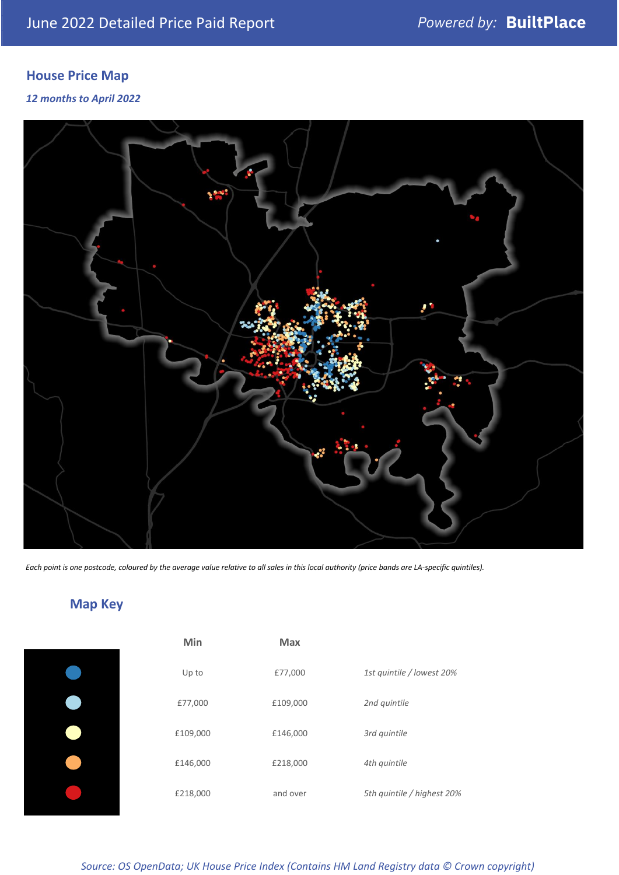## **House Price Map**

#### *12 months to April 2022*



*Each point is one postcode, coloured by the average value relative to all sales in this local authority (price bands are LA-specific quintiles).*

**Map Key**

| Min      | <b>Max</b> |                            |
|----------|------------|----------------------------|
| Up to    | £77,000    | 1st quintile / lowest 20%  |
| £77,000  | £109,000   | 2nd quintile               |
| £109,000 | £146,000   | 3rd quintile               |
| £146,000 | £218,000   | 4th quintile               |
| £218,000 | and over   | 5th quintile / highest 20% |

#### *Source: OS OpenData; UK House Price Index (Contains HM Land Registry data © Crown copyright)*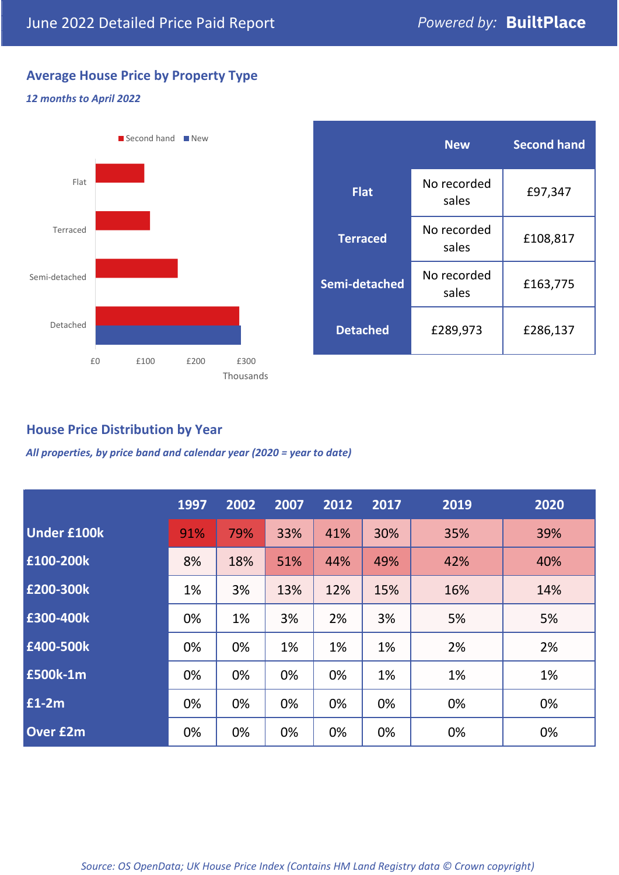### **Average House Price by Property Type**

#### *12 months to April 2022*



#### **House Price Distribution by Year**

*All properties, by price band and calendar year (2020 = year to date)*

|                    | 1997 | 2002 | 2007 | 2012 | 2017 | 2019 | 2020 |
|--------------------|------|------|------|------|------|------|------|
| <b>Under £100k</b> | 91%  | 79%  | 33%  | 41%  | 30%  | 35%  | 39%  |
| £100-200k          | 8%   | 18%  | 51%  | 44%  | 49%  | 42%  | 40%  |
| E200-300k          | 1%   | 3%   | 13%  | 12%  | 15%  | 16%  | 14%  |
| £300-400k          | 0%   | 1%   | 3%   | 2%   | 3%   | 5%   | 5%   |
| £400-500k          | 0%   | 0%   | 1%   | 1%   | 1%   | 2%   | 2%   |
| <b>£500k-1m</b>    | 0%   | 0%   | 0%   | 0%   | 1%   | 1%   | 1%   |
| £1-2m              | 0%   | 0%   | 0%   | 0%   | 0%   | 0%   | 0%   |
| <b>Over £2m</b>    | 0%   | 0%   | 0%   | 0%   | 0%   | 0%   | 0%   |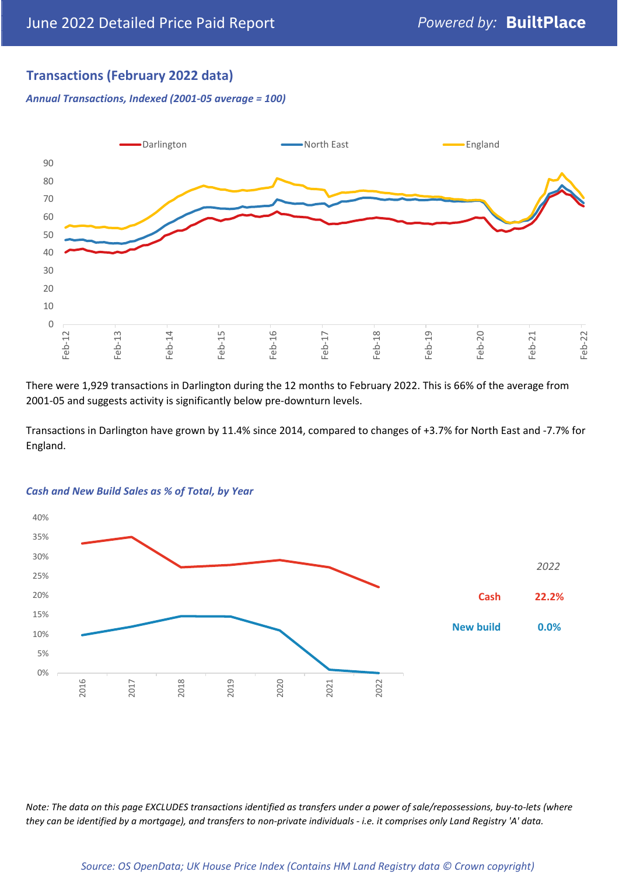### **Transactions (February 2022 data)**

*Annual Transactions, Indexed (2001-05 average = 100)*



There were 1,929 transactions in Darlington during the 12 months to February 2022. This is 66% of the average from 2001-05 and suggests activity is significantly below pre-downturn levels.

Transactions in Darlington have grown by 11.4% since 2014, compared to changes of +3.7% for North East and -7.7% for England.



#### *Cash and New Build Sales as % of Total, by Year*

*Note: The data on this page EXCLUDES transactions identified as transfers under a power of sale/repossessions, buy-to-lets (where they can be identified by a mortgage), and transfers to non-private individuals - i.e. it comprises only Land Registry 'A' data.*